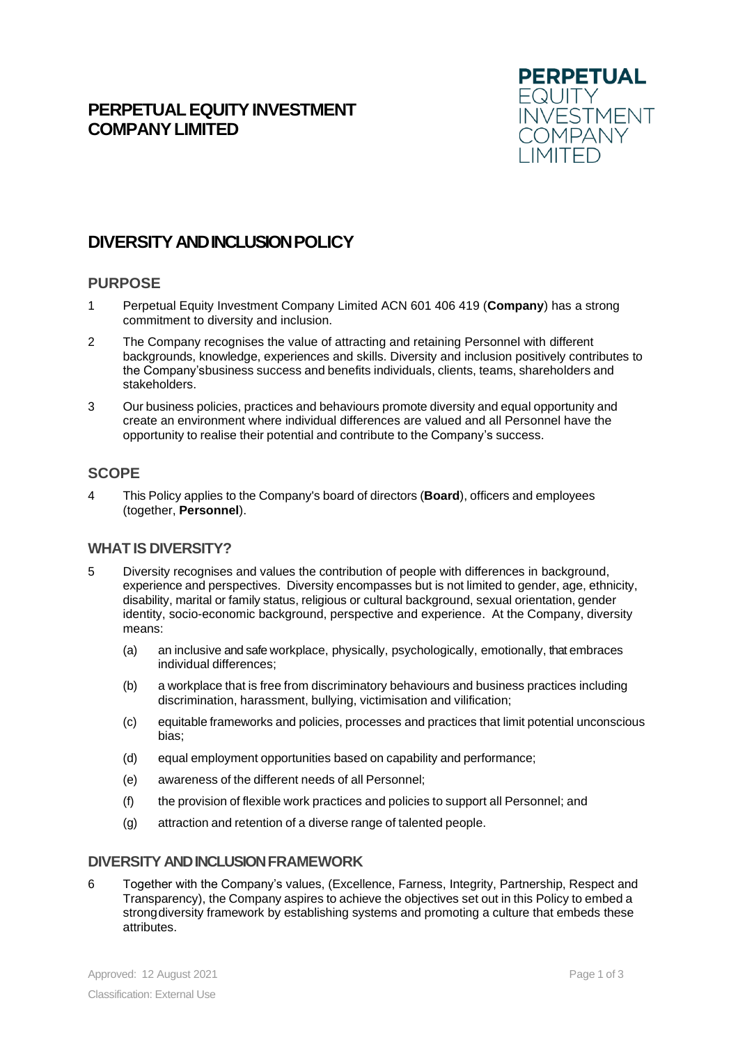# **PERPETUAL EQUITY INVESTMENT COMPANYLIMITED**



# **DIVERSITYAND INCLUSIONPOLICY**

### **PURPOSE**

- 1 Perpetual Equity Investment Company Limited ACN 601 406 419 (**Company**) has a strong commitment to diversity and inclusion.
- 2 The Company recognises the value of attracting and retaining Personnel with different backgrounds, knowledge, experiences and skills. Diversity and inclusion positively contributes to the Company'sbusiness success and benefits individuals, clients, teams, shareholders and stakeholders.
- 3 Our business policies, practices and behaviours promote diversity and equal opportunity and create an environment where individual differences are valued and all Personnel have the opportunity to realise their potential and contribute to the Company's success.

## **SCOPE**

4 This Policy applies to the Company's board of directors (**Board**), officers and employees (together, **Personnel**).

### **WHAT IS DIVERSITY?**

- 5 Diversity recognises and values the contribution of people with differences in background, experience and perspectives. Diversity encompasses but is not limited to gender, age, ethnicity, disability, marital or family status, religious or cultural background, sexual orientation, gender identity, socio-economic background, perspective and experience. At the Company, diversity means:
	- (a) an inclusive and safe workplace, physically, psychologically, emotionally, that embraces individual differences;
	- (b) a workplace that is free from discriminatory behaviours and business practices including discrimination, harassment, bullying, victimisation and vilification;
	- (c) equitable frameworks and policies, processes and practices that limit potential unconscious bias;
	- (d) equal employment opportunities based on capability and performance;
	- (e) awareness of the different needs of all Personnel;
	- (f) the provision of flexible work practices and policies to support all Personnel; and
	- (g) attraction and retention of a diverse range of talented people.

## **DIVERSITY AND INCLUSION FRAMEWORK**

6 Together with the Company's values, (Excellence, Farness, Integrity, Partnership, Respect and Transparency), the Company aspires to achieve the objectives set out in this Policy to embed a strong diversity framework by establishing systems and promoting a culture that embeds these attributes.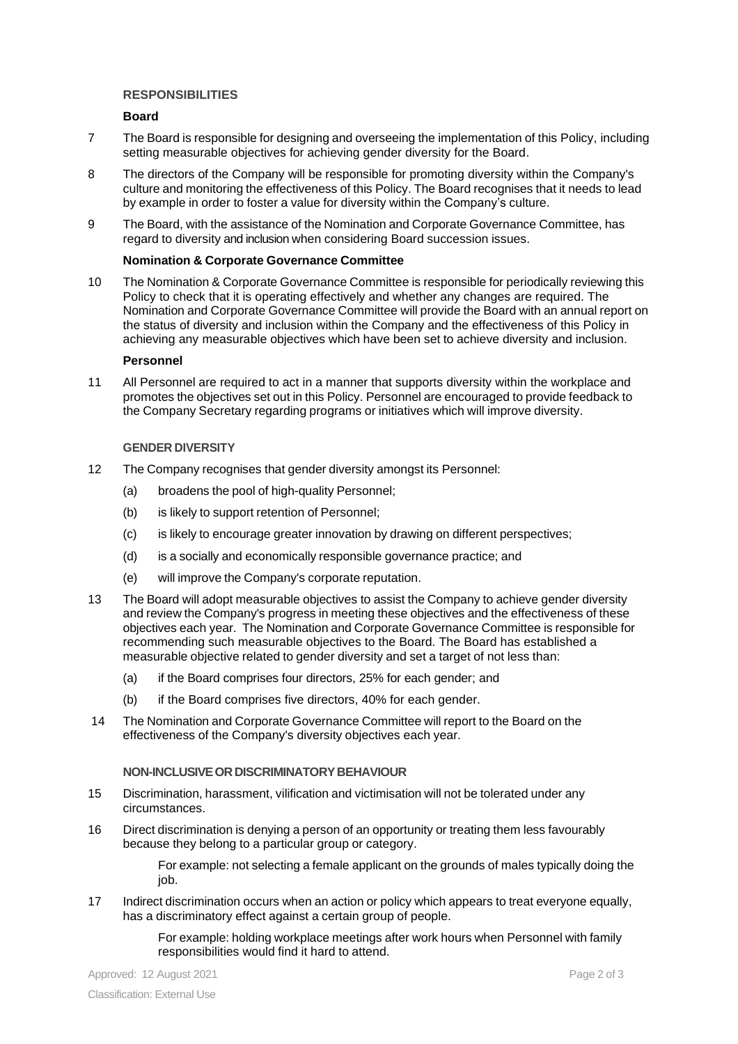#### **RESPONSIBILITIES**

#### **Board**

- 7 The Board is responsible for designing and overseeing the implementation of this Policy, including setting measurable objectives for achieving gender diversity for the Board.
- 8 The directors of the Company will be responsible for promoting diversity within the Company's culture and monitoring the effectiveness of this Policy. The Board recognises that it needs to lead by example in order to foster a value for diversity within the Company's culture.
- 9 The Board, with the assistance of the Nomination and Corporate Governance Committee, has regard to diversity and inclusion when considering Board succession issues.

#### **Nomination & Corporate Governance Committee**

10 The Nomination & Corporate Governance Committee is responsible for periodically reviewing this Policy to check that it is operating effectively and whether any changes are required. The Nomination and Corporate Governance Committee will provide the Board with an annual report on the status of diversity and inclusion within the Company and the effectiveness of this Policy in achieving any measurable objectives which have been set to achieve diversity and inclusion.

#### **Personnel**

11 All Personnel are required to act in a manner that supports diversity within the workplace and promotes the objectives set out in this Policy. Personnel are encouraged to provide feedback to the Company Secretary regarding programs or initiatives which will improve diversity.

### **GENDER DIVERSITY**

- 12 The Company recognises that gender diversity amongst its Personnel:
	- (a) broadens the pool of high-quality Personnel;
	- (b) is likely to support retention of Personnel;
	- (c) is likely to encourage greater innovation by drawing on different perspectives;
	- (d) is a socially and economically responsible governance practice; and
	- (e) will improve the Company's corporate reputation.
- 13 The Board will adopt measurable objectives to assist the Company to achieve gender diversity and review the Company's progress in meeting these objectives and the effectiveness of these objectives each year. The Nomination and Corporate Governance Committee is responsible for recommending such measurable objectives to the Board. The Board has established a measurable objective related to gender diversity and set a target of not less than:
	- (a) if the Board comprises four directors, 25% for each gender; and
	- (b) if the Board comprises five directors, 40% for each gender.
- 14 The Nomination and Corporate Governance Committee will report to the Board on the effectiveness of the Company's diversity objectives each year.

#### **NON-INCLUSIVE OR DISCRIMINATORY BEHAVIOUR**

- 15 Discrimination, harassment, vilification and victimisation will not be tolerated under any circumstances.
- 16 Direct discrimination is denying a person of an opportunity or treating them less favourably because they belong to a particular group or category.

For example: not selecting a female applicant on the grounds of males typically doing the job.

17 Indirect discrimination occurs when an action or policy which appears to treat everyone equally, has a discriminatory effect against a certain group of people.

> For example: holding workplace meetings after work hours when Personnel with family responsibilities would find it hard to attend.